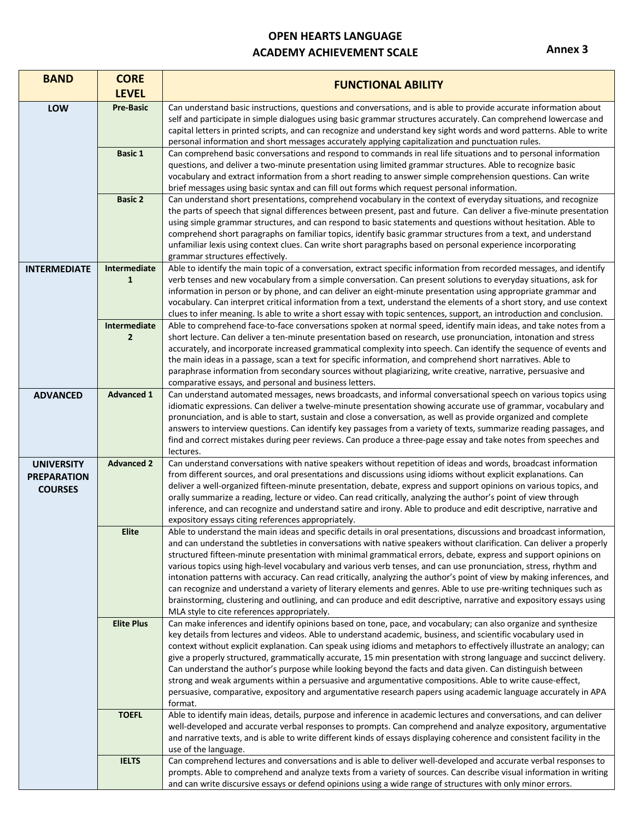## **OPEN HEARTS LANGUAGE ACADEMY ACHIEVEMENT SCALE**

 $\mathbf{r}$ 

**Annex 3** 

| <b>BAND</b>                                               | <b>CORE</b><br><b>LEVEL</b>    | <b>FUNCTIONAL ABILITY</b>                                                                                                                                                                                                                                                                                                                                                                                                                                                                                                                                                                                                                                                                                                                                                                                                                                                                                    |
|-----------------------------------------------------------|--------------------------------|--------------------------------------------------------------------------------------------------------------------------------------------------------------------------------------------------------------------------------------------------------------------------------------------------------------------------------------------------------------------------------------------------------------------------------------------------------------------------------------------------------------------------------------------------------------------------------------------------------------------------------------------------------------------------------------------------------------------------------------------------------------------------------------------------------------------------------------------------------------------------------------------------------------|
| LOW                                                       | <b>Pre-Basic</b>               | Can understand basic instructions, questions and conversations, and is able to provide accurate information about<br>self and participate in simple dialogues using basic grammar structures accurately. Can comprehend lowercase and<br>capital letters in printed scripts, and can recognize and understand key sight words and word patterns. Able to write<br>personal information and short messages accurately applying capitalization and punctuation rules.                                                                                                                                                                                                                                                                                                                                                                                                                                          |
|                                                           | <b>Basic 1</b>                 | Can comprehend basic conversations and respond to commands in real life situations and to personal information<br>questions, and deliver a two-minute presentation using limited grammar structures. Able to recognize basic<br>vocabulary and extract information from a short reading to answer simple comprehension questions. Can write<br>brief messages using basic syntax and can fill out forms which request personal information.                                                                                                                                                                                                                                                                                                                                                                                                                                                                  |
|                                                           | <b>Basic 2</b>                 | Can understand short presentations, comprehend vocabulary in the context of everyday situations, and recognize<br>the parts of speech that signal differences between present, past and future. Can deliver a five-minute presentation<br>using simple grammar structures, and can respond to basic statements and questions without hesitation. Able to<br>comprehend short paragraphs on familiar topics, identify basic grammar structures from a text, and understand<br>unfamiliar lexis using context clues. Can write short paragraphs based on personal experience incorporating<br>grammar structures effectively.                                                                                                                                                                                                                                                                                  |
| <b>INTERMEDIATE</b>                                       | Intermediate<br>$\mathbf{1}$   | Able to identify the main topic of a conversation, extract specific information from recorded messages, and identify<br>verb tenses and new vocabulary from a simple conversation. Can present solutions to everyday situations, ask for<br>information in person or by phone, and can deliver an eight-minute presentation using appropriate grammar and<br>vocabulary. Can interpret critical information from a text, understand the elements of a short story, and use context<br>clues to infer meaning. Is able to write a short essay with topic sentences, support, an introduction and conclusion.                                                                                                                                                                                                                                                                                                  |
|                                                           | Intermediate<br>$\overline{2}$ | Able to comprehend face-to-face conversations spoken at normal speed, identify main ideas, and take notes from a<br>short lecture. Can deliver a ten-minute presentation based on research, use pronunciation, intonation and stress<br>accurately, and incorporate increased grammatical complexity into speech. Can identify the sequence of events and<br>the main ideas in a passage, scan a text for specific information, and comprehend short narratives. Able to<br>paraphrase information from secondary sources without plagiarizing, write creative, narrative, persuasive and<br>comparative essays, and personal and business letters.                                                                                                                                                                                                                                                          |
| <b>ADVANCED</b>                                           | <b>Advanced 1</b>              | Can understand automated messages, news broadcasts, and informal conversational speech on various topics using<br>idiomatic expressions. Can deliver a twelve-minute presentation showing accurate use of grammar, vocabulary and<br>pronunciation, and is able to start, sustain and close a conversation, as well as provide organized and complete<br>answers to interview questions. Can identify key passages from a variety of texts, summarize reading passages, and<br>find and correct mistakes during peer reviews. Can produce a three-page essay and take notes from speeches and<br>lectures.                                                                                                                                                                                                                                                                                                   |
| <b>UNIVERSITY</b><br><b>PREPARATION</b><br><b>COURSES</b> | <b>Advanced 2</b>              | Can understand conversations with native speakers without repetition of ideas and words, broadcast information<br>from different sources, and oral presentations and discussions using idioms without explicit explanations. Can<br>deliver a well-organized fifteen-minute presentation, debate, express and support opinions on various topics, and<br>orally summarize a reading, lecture or video. Can read critically, analyzing the author's point of view through<br>inference, and can recognize and understand satire and irony. Able to produce and edit descriptive, narrative and<br>expository essays citing references appropriately.                                                                                                                                                                                                                                                          |
|                                                           | <b>Elite</b>                   | Able to understand the main ideas and specific details in oral presentations, discussions and broadcast information,<br>and can understand the subtleties in conversations with native speakers without clarification. Can deliver a properly<br>structured fifteen-minute presentation with minimal grammatical errors, debate, express and support opinions on<br>various topics using high-level vocabulary and various verb tenses, and can use pronunciation, stress, rhythm and<br>intonation patterns with accuracy. Can read critically, analyzing the author's point of view by making inferences, and<br>can recognize and understand a variety of literary elements and genres. Able to use pre-writing techniques such as<br>brainstorming, clustering and outlining, and can produce and edit descriptive, narrative and expository essays using<br>MLA style to cite references appropriately. |
|                                                           | <b>Elite Plus</b>              | Can make inferences and identify opinions based on tone, pace, and vocabulary; can also organize and synthesize<br>key details from lectures and videos. Able to understand academic, business, and scientific vocabulary used in<br>context without explicit explanation. Can speak using idioms and metaphors to effectively illustrate an analogy; can<br>give a properly structured, grammatically accurate, 15 min presentation with strong language and succinct delivery.<br>Can understand the author's purpose while looking beyond the facts and data given. Can distinguish between<br>strong and weak arguments within a persuasive and argumentative compositions. Able to write cause-effect,<br>persuasive, comparative, expository and argumentative research papers using academic language accurately in APA<br>format.                                                                    |
|                                                           | <b>TOEFL</b>                   | Able to identify main ideas, details, purpose and inference in academic lectures and conversations, and can deliver<br>well-developed and accurate verbal responses to prompts. Can comprehend and analyze expository, argumentative<br>and narrative texts, and is able to write different kinds of essays displaying coherence and consistent facility in the<br>use of the language.                                                                                                                                                                                                                                                                                                                                                                                                                                                                                                                      |
|                                                           | <b>IELTS</b>                   | Can comprehend lectures and conversations and is able to deliver well-developed and accurate verbal responses to<br>prompts. Able to comprehend and analyze texts from a variety of sources. Can describe visual information in writing<br>and can write discursive essays or defend opinions using a wide range of structures with only minor errors.                                                                                                                                                                                                                                                                                                                                                                                                                                                                                                                                                       |